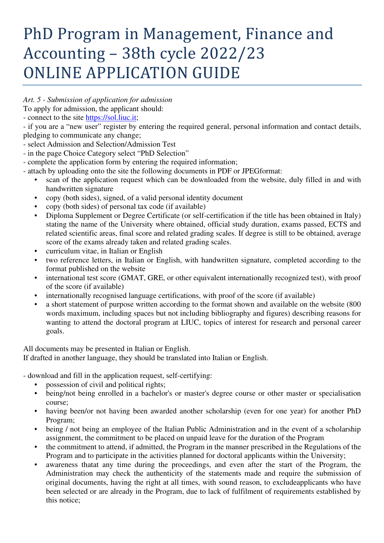## PhD Program in Management, Finance and Accounting – 38th cycle 2022/23 ONLINE APPLICATION GUIDE

*Art. 5 - Submission of application for admission* 

To apply for admission, the applicant should:

- connect to the site https://sol.liuc.it;

- if you are a "new user" register by entering the required general, personal information and contact details, pledging to communicate any change;

- select Admission and Selection/Admission Test
- in the page Choice Category select "PhD Selection"
- complete the application form by entering the required information;
- attach by uploading onto the site the following documents in PDF or JPEGformat:
	- scan of the application request which can be downloaded from the website, duly filled in and with handwritten signature
	- copy (both sides), signed, of a valid personal identity document
	- copy (both sides) of personal tax code (if available)
	- Diploma Supplement or Degree Certificate (or self-certification if the title has been obtained in Italy) stating the name of the University where obtained, official study duration, exams passed, ECTS and related scientific areas, final score and related grading scales. If degree is still to be obtained, average score of the exams already taken and related grading scales.
	- curriculum vitae, in Italian or English
	- two reference letters, in Italian or English, with handwritten signature, completed according to the format published on the website
	- international test score (GMAT, GRE, or other equivalent internationally recognized test), with proof of the score (if available)
	- internationally recognised language certifications, with proof of the score (if available)
	- a short statement of purpose written according to the format shown and available on the website (800 words maximum, including spaces but not including bibliography and figures) describing reasons for wanting to attend the doctoral program at LIUC, topics of interest for research and personal career goals.

All documents may be presented in Italian or English.

If drafted in another language, they should be translated into Italian or English.

- download and fill in the application request, self-certifying:

- possession of civil and political rights;
- being/not being enrolled in a bachelor's or master's degree course or other master or specialisation course;
- having been/or not having been awarded another scholarship (even for one year) for another PhD Program;
- being / not being an employee of the Italian Public Administration and in the event of a scholarship assignment, the commitment to be placed on unpaid leave for the duration of the Program
- the commitment to attend, if admitted, the Program in the manner prescribed in the Regulations of the Program and to participate in the activities planned for doctoral applicants within the University;
- awareness thatat any time during the proceedings, and even after the start of the Program, the Administration may check the authenticity of the statements made and require the submission of original documents, having the right at all times, with sound reason, to excludeapplicants who have been selected or are already in the Program, due to lack of fulfilment of requirements established by this notice;